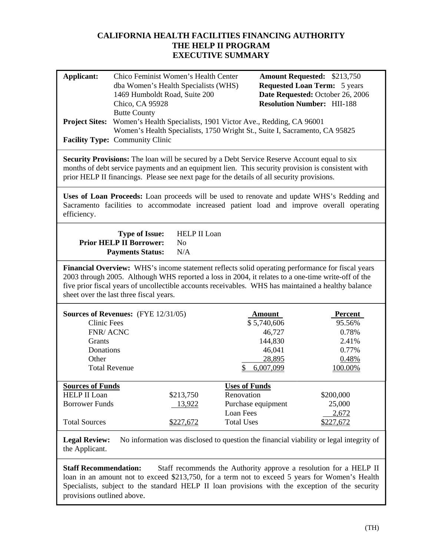## **CALIFORNIA HEALTH FACILITIES FINANCING AUTHORITY THE HELP II PROGRAM EXECUTIVE SUMMARY**

| Applicant:                                                                                                                                                                                                                                                                                                                                               | 1469 Humboldt Road, Suite 200<br>Chico, CA 95928                                                                                                                                                                                                                                                | Chico Feminist Women's Health Center<br>dba Women's Health Specialists (WHS) |                      | <b>Amount Requested: \$213,750</b><br><b>Requested Loan Term:</b> 5 years<br><b>Resolution Number: HII-188</b> | Date Requested: October 26, 2006                                                                                                                                                        |  |  |
|----------------------------------------------------------------------------------------------------------------------------------------------------------------------------------------------------------------------------------------------------------------------------------------------------------------------------------------------------------|-------------------------------------------------------------------------------------------------------------------------------------------------------------------------------------------------------------------------------------------------------------------------------------------------|------------------------------------------------------------------------------|----------------------|----------------------------------------------------------------------------------------------------------------|-----------------------------------------------------------------------------------------------------------------------------------------------------------------------------------------|--|--|
|                                                                                                                                                                                                                                                                                                                                                          | <b>Butte County</b>                                                                                                                                                                                                                                                                             |                                                                              |                      |                                                                                                                |                                                                                                                                                                                         |  |  |
| <b>Project Sites:</b>                                                                                                                                                                                                                                                                                                                                    | Women's Health Specialists, 1901 Victor Ave., Redding, CA 96001<br>Women's Health Specialists, 1750 Wright St., Suite I, Sacramento, CA 95825                                                                                                                                                   |                                                                              |                      |                                                                                                                |                                                                                                                                                                                         |  |  |
| <b>Facility Type:</b>                                                                                                                                                                                                                                                                                                                                    | <b>Community Clinic</b>                                                                                                                                                                                                                                                                         |                                                                              |                      |                                                                                                                |                                                                                                                                                                                         |  |  |
|                                                                                                                                                                                                                                                                                                                                                          | Security Provisions: The loan will be secured by a Debt Service Reserve Account equal to six<br>months of debt service payments and an equipment lien. This security provision is consistent with<br>prior HELP II financings. Please see next page for the details of all security provisions. |                                                                              |                      |                                                                                                                |                                                                                                                                                                                         |  |  |
| efficiency.                                                                                                                                                                                                                                                                                                                                              |                                                                                                                                                                                                                                                                                                 |                                                                              |                      |                                                                                                                | Uses of Loan Proceeds: Loan proceeds will be used to renovate and update WHS's Redding and<br>Sacramento facilities to accommodate increased patient load and improve overall operating |  |  |
|                                                                                                                                                                                                                                                                                                                                                          | <b>HELP II Loan</b><br><b>Type of Issue:</b><br><b>Prior HELP II Borrower:</b><br>N <sub>o</sub><br><b>Payments Status:</b><br>N/A                                                                                                                                                              |                                                                              |                      |                                                                                                                |                                                                                                                                                                                         |  |  |
| Financial Overview: WHS's income statement reflects solid operating performance for fiscal years<br>2003 through 2005. Although WHS reported a loss in 2004, it relates to a one-time write-off of the<br>five prior fiscal years of uncollectible accounts receivables. WHS has maintained a healthy balance<br>sheet over the last three fiscal years. |                                                                                                                                                                                                                                                                                                 |                                                                              |                      |                                                                                                                |                                                                                                                                                                                         |  |  |
|                                                                                                                                                                                                                                                                                                                                                          | <b>Sources of Revenues:</b> (FYE 12/31/05)                                                                                                                                                                                                                                                      |                                                                              |                      | <b>Amount</b>                                                                                                  | <b>Percent</b>                                                                                                                                                                          |  |  |
| <b>Clinic Fees</b>                                                                                                                                                                                                                                                                                                                                       |                                                                                                                                                                                                                                                                                                 |                                                                              |                      | \$5,740,606                                                                                                    | 95.56%                                                                                                                                                                                  |  |  |
|                                                                                                                                                                                                                                                                                                                                                          | FNR/ACNC                                                                                                                                                                                                                                                                                        |                                                                              |                      | 46,727                                                                                                         | 0.78%                                                                                                                                                                                   |  |  |
| Grants                                                                                                                                                                                                                                                                                                                                                   |                                                                                                                                                                                                                                                                                                 |                                                                              |                      | 144,830                                                                                                        | 2.41%                                                                                                                                                                                   |  |  |
| Donations                                                                                                                                                                                                                                                                                                                                                |                                                                                                                                                                                                                                                                                                 |                                                                              |                      | 46,041                                                                                                         | 0.77%                                                                                                                                                                                   |  |  |
| Other                                                                                                                                                                                                                                                                                                                                                    |                                                                                                                                                                                                                                                                                                 |                                                                              |                      | 28,895                                                                                                         | 0.48%                                                                                                                                                                                   |  |  |
|                                                                                                                                                                                                                                                                                                                                                          | <b>Total Revenue</b>                                                                                                                                                                                                                                                                            |                                                                              |                      | 6,007,099                                                                                                      | 100.00%                                                                                                                                                                                 |  |  |
| <b>Sources of Funds</b>                                                                                                                                                                                                                                                                                                                                  |                                                                                                                                                                                                                                                                                                 |                                                                              | <b>Uses of Funds</b> |                                                                                                                |                                                                                                                                                                                         |  |  |
| <b>HELP II Loan</b>                                                                                                                                                                                                                                                                                                                                      |                                                                                                                                                                                                                                                                                                 | \$213,750                                                                    | Renovation           |                                                                                                                | \$200,000                                                                                                                                                                               |  |  |
| <b>Borrower Funds</b>                                                                                                                                                                                                                                                                                                                                    |                                                                                                                                                                                                                                                                                                 | 13,922                                                                       |                      | Purchase equipment                                                                                             | 25,000                                                                                                                                                                                  |  |  |
|                                                                                                                                                                                                                                                                                                                                                          |                                                                                                                                                                                                                                                                                                 |                                                                              | Loan Fees            |                                                                                                                | 2,672                                                                                                                                                                                   |  |  |
| <b>Total Sources</b>                                                                                                                                                                                                                                                                                                                                     |                                                                                                                                                                                                                                                                                                 | \$227,672                                                                    | <b>Total Uses</b>    |                                                                                                                | \$227,672                                                                                                                                                                               |  |  |
| No information was disclosed to question the financial viability or legal integrity of<br><b>Legal Review:</b><br>the Applicant.                                                                                                                                                                                                                         |                                                                                                                                                                                                                                                                                                 |                                                                              |                      |                                                                                                                |                                                                                                                                                                                         |  |  |

**Staff Recommendation:** Staff recommends the Authority approve a resolution for a HELP II loan in an amount not to exceed \$213,750, for a term not to exceed 5 years for Women's Health Specialists, subject to the standard HELP II loan provisions with the exception of the security provisions outlined above.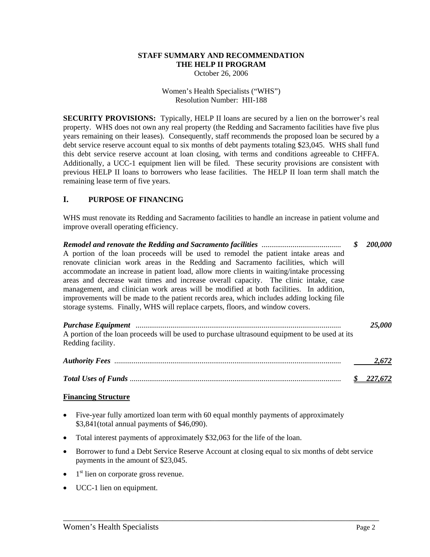#### **STAFF SUMMARY AND RECOMMENDATION THE HELP II PROGRAM**  October 26, 2006

Women's Health Specialists ("WHS") Resolution Number: HII-188

**SECURITY PROVISIONS:** Typically, HELP II loans are secured by a lien on the borrower's real property. WHS does not own any real property (the Redding and Sacramento facilities have five plus years remaining on their leases). Consequently, staff recommends the proposed loan be secured by a debt service reserve account equal to six months of debt payments totaling \$23,045. WHS shall fund this debt service reserve account at loan closing, with terms and conditions agreeable to CHFFA. Additionally, a UCC-1 equipment lien will be filed. These security provisions are consistent with previous HELP II loans to borrowers who lease facilities. The HELP II loan term shall match the remaining lease term of five years.

### **I. PURPOSE OF FINANCING**

WHS must renovate its Redding and Sacramento facilities to handle an increase in patient volume and improve overall operating efficiency.

|                                                                                                                | S | 200,000 |
|----------------------------------------------------------------------------------------------------------------|---|---------|
| A portion of the loan proceeds will be used to remodel the patient intake areas and                            |   |         |
| renovate clinician work areas in the Redding and Sacramento facilities, which will                             |   |         |
| accommodate an increase in patient load, allow more clients in waiting/intake processing                       |   |         |
| areas and decrease wait times and increase overall capacity. The clinic intake, case                           |   |         |
| management, and clinician work areas will be modified at both facilities. In addition,                         |   |         |
| improvements will be made to the patient records area, which includes adding locking file                      |   |         |
| storage systems. Finally, WHS will replace carpets, floors, and window covers.                                 |   |         |
| Purchase Equipment manufactured contains and the contract of the contract of the contract of the contract of t |   | 25,000  |
| A portion of the loan proceeds will be used to purchase ultrasound equipment to be used at its                 |   |         |

Redding facility.

|  | 2.672               |
|--|---------------------|
|  | $\frac{8}{227,672}$ |

### **Financing Structure**

- Five-year fully amortized loan term with 60 equal monthly payments of approximately \$3,841(total annual payments of \$46,090).
- Total interest payments of approximately \$32,063 for the life of the loan.
- Borrower to fund a Debt Service Reserve Account at closing equal to six months of debt service payments in the amount of \$23,045.

- $\bullet$  1<sup>st</sup> lien on corporate gross revenue.
- UCC-1 lien on equipment.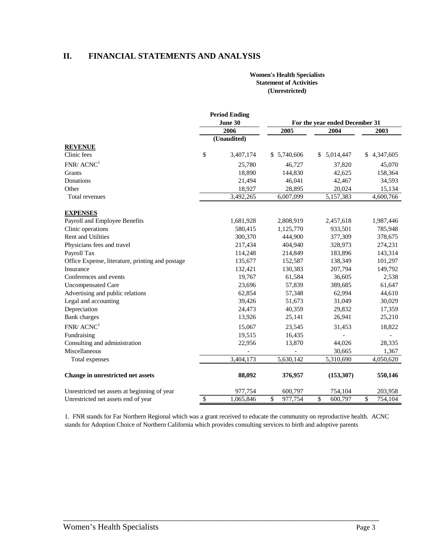# **II. FINANCIAL STATEMENTS AND ANALYSIS**

#### **Women's Health Specialists Statement of Activities (Unrestricted)**

|                                                  | <b>Period Ending</b><br>June 30 |             |                                |               |               |  |
|--------------------------------------------------|---------------------------------|-------------|--------------------------------|---------------|---------------|--|
|                                                  |                                 |             | For the year ended December 31 |               |               |  |
|                                                  | 2006                            |             | 2005                           | 2004          | 2003          |  |
|                                                  |                                 | (Unaudited) |                                |               |               |  |
| <b>REVENUE</b>                                   |                                 |             |                                |               |               |  |
| Clinic fees                                      | \$                              | 3,407,174   | \$ 5,740,606                   | \$5,014,447   | \$4,347,605   |  |
| FNR/ACNC <sup>1</sup>                            |                                 | 25,780      | 46,727                         | 37,820        | 45,070        |  |
| Grants                                           |                                 | 18,890      | 144,830                        | 42,625        | 158,364       |  |
| Donations                                        |                                 | 21,494      | 46,041                         | 42,467        | 34,593        |  |
| Other                                            |                                 | 18,927      | 28,895                         | 20,024        | 15,134        |  |
| Total revenues                                   |                                 | 3,492,265   | 6,007,099                      | 5,157,383     | 4,600,766     |  |
| <b>EXPENSES</b>                                  |                                 |             |                                |               |               |  |
| Payroll and Employee Benefits                    |                                 | 1,681,928   | 2,808,919                      | 2,457,618     | 1,987,446     |  |
| Clinic operations                                |                                 | 580,415     | 1,125,770                      | 933,501       | 785,948       |  |
| Rent and Utilities                               |                                 | 300,370     | 444,900                        | 377,309       | 378,675       |  |
| Physicians fees and travel                       |                                 | 217,434     | 404,940                        | 328,973       | 274,231       |  |
| Payroll Tax                                      |                                 | 114,248     | 214,849                        | 183,896       | 143,314       |  |
| Office Expense, literature, printing and postage |                                 | 135,677     | 152,587                        | 138,349       | 101,297       |  |
| Insurance                                        |                                 | 132,421     | 130,383                        | 207,794       | 149,792       |  |
| Conferences and events                           |                                 | 19,767      | 61,584                         | 36,605        | 2,538         |  |
| <b>Uncompensated Care</b>                        |                                 | 23,696      | 57,839                         | 389,685       | 61,647        |  |
| Advertising and public relations                 |                                 | 62,854      | 57,348                         | 62,994        | 44,610        |  |
| Legal and accounting                             |                                 | 39,426      | 51,673                         | 31,049        | 30,029        |  |
| Depreciation                                     |                                 | 24,473      | 40,359                         | 29,832        | 17,359        |  |
| <b>Bank</b> charges                              |                                 | 13,926      | 25,141                         | 26,941        | 25,210        |  |
| FNR/ACNC <sup>1</sup>                            |                                 | 15,067      | 23,545                         | 31,453        | 18,822        |  |
| Fundraising                                      |                                 | 19,515      | 16,435                         |               |               |  |
| Consulting and administration                    |                                 | 22,956      | 13,870                         | 44,026        | 28,335        |  |
| Miscellaneous                                    |                                 |             |                                | 30,665        | 1,367         |  |
| Total expenses                                   |                                 | 3,404,173   | 5,630,142                      | 5,310,690     | 4,050,620     |  |
| Change in unrestricted net assets                |                                 | 88,092      | 376,957                        | (153, 307)    | 550,146       |  |
| Unrestricted net assets at beginning of year     |                                 | 977,754     | 600,797                        | 754,104       | 203,958       |  |
| Unrestricted net assets end of year              | \$                              | 1,065,846   | \$<br>977,754                  | \$<br>600,797 | \$<br>754,104 |  |

1. FNR stands for Far Northern Regional which was a grant received to educate the community on reproductive health. ACNC stands for Adoption Choice of Northern California which provides consulting services to birth and adoptive parents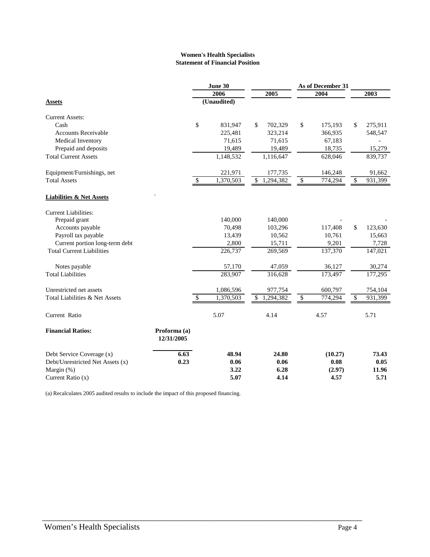#### **Women's Health Specialists Statement of Financial Position**

|                                     |                            | June 30                    |                                       | As of December 31 |         |    |         |
|-------------------------------------|----------------------------|----------------------------|---------------------------------------|-------------------|---------|----|---------|
|                                     |                            | 2006                       | 2005                                  |                   | 2004    |    | 2003    |
| <b>Assets</b>                       |                            | (Unaudited)                |                                       |                   |         |    |         |
| <b>Current Assets:</b>              |                            |                            |                                       |                   |         |    |         |
| Cash                                |                            | \$<br>831,947              | \$<br>702,329                         | \$                | 175,193 | \$ | 275,911 |
| <b>Accounts Receivable</b>          |                            | 225,481                    | 323,214                               |                   | 366,935 |    | 548,547 |
| Medical Inventory                   |                            | 71,615                     | 71,615                                |                   | 67,183  |    |         |
| Prepaid and deposits                |                            | 19,489                     | 19,489                                |                   | 18,735  |    | 15,279  |
| <b>Total Current Assets</b>         |                            | 1,148,532                  | 1,116,647                             |                   | 628,046 |    | 839,737 |
| Equipment/Furnishings, net          |                            | 221,971                    | 177,735                               |                   | 146,248 |    | 91,662  |
| <b>Total Assets</b>                 |                            | $\mathcal{S}$<br>1,370,503 | $\overline{\mathcal{S}}$<br>1,294,382 | $\overline{\$}$   | 774,294 | \$ | 931,399 |
| <b>Liabilities &amp; Net Assets</b> |                            |                            |                                       |                   |         |    |         |
| <b>Current Liabilities:</b>         |                            |                            |                                       |                   |         |    |         |
| Prepaid grant                       |                            | 140,000                    | 140,000                               |                   |         |    |         |
| Accounts payable                    |                            | 70,498                     | 103,296                               |                   | 117,408 | \$ | 123,630 |
| Payroll tax payable                 |                            | 13,439                     | 10,562                                |                   | 10,761  |    | 15,663  |
| Current portion long-term debt      |                            | 2,800                      | 15,711                                |                   | 9,201   |    | 7,728   |
| <b>Total Current Liabilities</b>    |                            | 226,737                    | 269,569                               |                   | 137,370 |    | 147,021 |
| Notes payable                       |                            | 57,170                     | 47,059                                |                   | 36,127  |    | 30,274  |
| <b>Total Liabilities</b>            |                            | 283,907                    | 316,628                               |                   | 173,497 |    | 177,295 |
| Unrestricted net assets             |                            | 1,086,596                  | 977,754                               |                   | 600,797 |    | 754,104 |
| Total Liabilities & Net Assets      |                            | -\$<br>1,370,503           | 1,294,382<br>\$                       | $\mathbb{S}$      | 774,294 | \$ | 931,399 |
| Current Ratio                       |                            | 5.07                       | 4.14                                  |                   | 4.57    |    | 5.71    |
| <b>Financial Ratios:</b>            | Proforma (a)<br>12/31/2005 |                            |                                       |                   |         |    |         |
| Debt Service Coverage (x)           | 6.63                       | 48.94                      | 24.80                                 |                   | (10.27) |    | 73.43   |
| Debt/Unrestricted Net Assets (x)    | 0.23                       | 0.06                       | 0.06                                  |                   | 0.08    |    | 0.05    |
| Margin (%)                          |                            | 3.22                       | 6.28                                  |                   | (2.97)  |    | 11.96   |
| Current Ratio $(x)$                 |                            | 5.07                       | 4.14                                  |                   | 4.57    |    | 5.71    |

\_\_\_\_\_\_\_\_\_\_\_\_\_\_\_\_\_\_\_\_\_\_\_\_\_\_\_\_\_\_\_\_\_\_\_\_\_\_\_\_\_\_\_\_\_\_\_\_\_\_\_\_\_\_\_\_\_\_\_\_\_\_\_\_\_\_\_\_\_\_\_\_\_\_\_\_

(a) Recalculates 2005 audited results to include the impact of this proposed financing.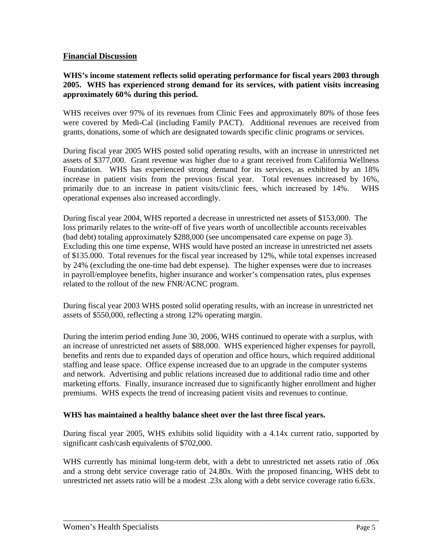## **Financial Discussion**

## **WHS's income statement reflects solid operating performance for fiscal years 2003 through 2005. WHS has experienced strong demand for its services, with patient visits increasing approximately 60% during this period.**

WHS receives over 97% of its revenues from Clinic Fees and approximately 80% of those fees were covered by Medi-Cal (including Family PACT). Additional revenues are received from grants, donations, some of which are designated towards specific clinic programs or services.

During fiscal year 2005 WHS posted solid operating results, with an increase in unrestricted net assets of \$377,000. Grant revenue was higher due to a grant received from California Wellness Foundation. WHS has experienced strong demand for its services, as exhibited by an 18% increase in patient visits from the previous fiscal year. Total revenues increased by 16%, primarily due to an increase in patient visits/clinic fees, which increased by 14%. WHS operational expenses also increased accordingly.

During fiscal year 2004, WHS reported a decrease in unrestricted net assets of \$153,000. The loss primarily relates to the write-off of five years worth of uncollectible accounts receivables (bad debt) totaling approximately \$288,000 (see uncompensated care expense on page 3). Excluding this one time expense, WHS would have posted an increase in unrestricted net assets of \$135.000. Total revenues for the fiscal year increased by 12%, while total expenses increased by 24% (excluding the one-time bad debt expense). The higher expenses were due to increases in payroll/employee benefits, higher insurance and worker's compensation rates, plus expenses related to the rollout of the new FNR/ACNC program.

During fiscal year 2003 WHS posted solid operating results, with an increase in unrestricted net assets of \$550,000, reflecting a strong 12% operating margin.

During the interim period ending June 30, 2006, WHS continued to operate with a surplus, with an increase of unrestricted net assets of \$88,000. WHS experienced higher expenses for payroll, benefits and rents due to expanded days of operation and office hours, which required additional staffing and lease space. Office expense increased due to an upgrade in the computer systems and network. Advertising and public relations increased due to additional radio time and other marketing efforts. Finally, insurance increased due to significantly higher enrollment and higher premiums. WHS expects the trend of increasing patient visits and revenues to continue.

### **WHS has maintained a healthy balance sheet over the last three fiscal years.**

During fiscal year 2005, WHS exhibits solid liquidity with a 4.14x current ratio, supported by significant cash/cash equivalents of \$702,000.

WHS currently has minimal long-term debt, with a debt to unrestricted net assets ratio of .06x and a strong debt service coverage ratio of 24.80x. With the proposed financing, WHS debt to unrestricted net assets ratio will be a modest .23x along with a debt service coverage ratio 6.63x.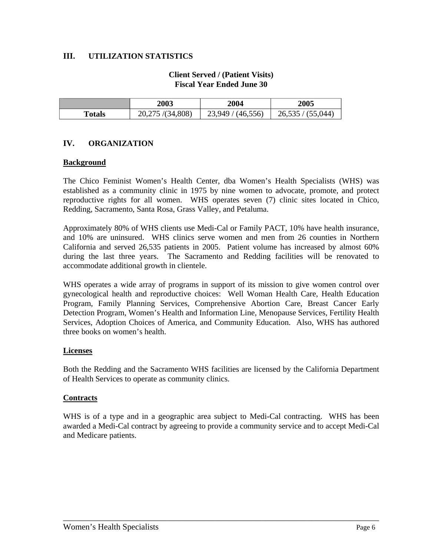# **III. UTILIZATION STATISTICS**

#### **Client Served / (Patient Visits) Fiscal Year Ended June 30**

|               | 2003            | 2004              | <b>2005</b>       |
|---------------|-----------------|-------------------|-------------------|
| <b>Totals</b> | 20,275/(34,808) | 23,949 / (46,556) | 26,535 / (55,044) |

## **IV. ORGANIZATION**

#### **Background**

The Chico Feminist Women's Health Center, dba Women's Health Specialists (WHS) was established as a community clinic in 1975 by nine women to advocate, promote, and protect reproductive rights for all women. WHS operates seven (7) clinic sites located in Chico, Redding, Sacramento, Santa Rosa, Grass Valley, and Petaluma.

Approximately 80% of WHS clients use Medi-Cal or Family PACT, 10% have health insurance, and 10% are uninsured. WHS clinics serve women and men from 26 counties in Northern California and served 26,535 patients in 2005. Patient volume has increased by almost 60% during the last three years. The Sacramento and Redding facilities will be renovated to accommodate additional growth in clientele.

WHS operates a wide array of programs in support of its mission to give women control over gynecological health and reproductive choices: Well Woman Health Care, Health Education Program, Family Planning Services, Comprehensive Abortion Care, Breast Cancer Early Detection Program, Women's Health and Information Line, Menopause Services, Fertility Health Services, Adoption Choices of America, and Community Education. Also, WHS has authored three books on women's health.

#### **Licenses**

Both the Redding and the Sacramento WHS facilities are licensed by the California Department of Health Services to operate as community clinics.

#### **Contracts**

WHS is of a type and in a geographic area subject to Medi-Cal contracting. WHS has been awarded a Medi-Cal contract by agreeing to provide a community service and to accept Medi-Cal and Medicare patients.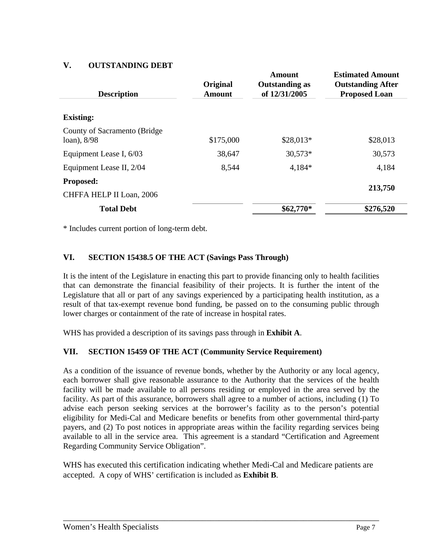# **V. OUTSTANDING DEBT**

| <b>Description</b>                           | Original<br><b>Amount</b> | <b>Amount</b><br><b>Outstanding as</b><br>of 12/31/2005 | <b>Estimated Amount</b><br><b>Outstanding After</b><br><b>Proposed Loan</b> |
|----------------------------------------------|---------------------------|---------------------------------------------------------|-----------------------------------------------------------------------------|
| <b>Existing:</b>                             |                           |                                                         |                                                                             |
| County of Sacramento (Bridge)<br>loan), 8/98 | \$175,000                 | $$28,013*$                                              | \$28,013                                                                    |
| Equipment Lease I, 6/03                      | 38,647                    | $30,573*$                                               | 30,573                                                                      |
| Equipment Lease II, 2/04                     | 8,544                     | 4,184*                                                  | 4,184                                                                       |
| <b>Proposed:</b><br>CHFFA HELP II Loan, 2006 |                           |                                                         | 213,750                                                                     |
| <b>Total Debt</b>                            |                           | $$62,770*$                                              | \$276,520                                                                   |

\* Includes current portion of long-term debt.

# **VI. SECTION 15438.5 OF THE ACT (Savings Pass Through)**

It is the intent of the Legislature in enacting this part to provide financing only to health facilities that can demonstrate the financial feasibility of their projects. It is further the intent of the Legislature that all or part of any savings experienced by a participating health institution, as a result of that tax-exempt revenue bond funding, be passed on to the consuming public through lower charges or containment of the rate of increase in hospital rates.

WHS has provided a description of its savings pass through in **Exhibit A**.

# **VII. SECTION 15459 OF THE ACT (Community Service Requirement)**

As a condition of the issuance of revenue bonds, whether by the Authority or any local agency, each borrower shall give reasonable assurance to the Authority that the services of the health facility will be made available to all persons residing or employed in the area served by the facility. As part of this assurance, borrowers shall agree to a number of actions, including (1) To advise each person seeking services at the borrower's facility as to the person's potential eligibility for Medi-Cal and Medicare benefits or benefits from other governmental third-party payers, and (2) To post notices in appropriate areas within the facility regarding services being available to all in the service area. This agreement is a standard "Certification and Agreement Regarding Community Service Obligation".

WHS has executed this certification indicating whether Medi-Cal and Medicare patients are accepted. A copy of WHS' certification is included as **Exhibit B**.